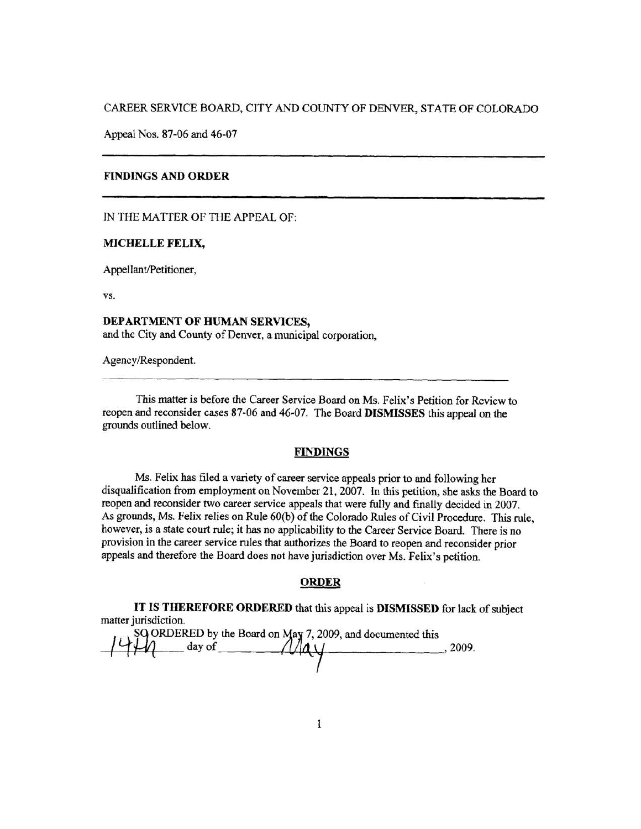CAREER SERVICE BOARD, CITY AND COUNTY OF DENVER, STATE OF COLORADO

Appeal Nos. 87-06 and 46-07

#### **FINDINGS AND ORDER**

IN THE MATTER OF THE APPEAL OF:

#### **MICHELLE FELIX,**

Appellant/Petitioner,

VS.

**DEPARTMENT OF HUMAN SERVICES,**  and the City and County of Denver, a municipal corporation,

Agency/Respondent.

This matter is before the Career Service Board on Ms. Felix's Petition for Review to reopen and reconsider cases 87-06 and 46-07. The Board **DISMISSES** this appeal on the grounds outlined below.

## **FINDINGS**

Ms. Felix has filed a variety of career service appeals prior to and following her disqualification from employment on November 21, 2007. In this petition, she asks the Board to reopen and reconsider two career service appeals that were fully and finally decided in 2007. As grounds, Ms. Felix relies on Rule 60(b) of the Colorado Rules of Civil Procedure. This rule, however, is a state court rule; it has no applicability to the Career Service Board. There is no provision in the career service rules that authorizes the Board to reopen and reconsider prior appeals and therefore the Board does not have jurisdiction over Ms. Felix's petition.

## **ORDER**

**IT IS THEREFORE ORDERED** that this appeal is **DISMISSED** for lack of subject matter jurisdiction.

 $\begin{array}{l}\n 8Q \text{ ORDERED by the Board on May 7, 2009, and documented this \n \n \downarrow \downarrow \downarrow \qquad \text{day of} \n \end{array}$ . 2009.  $\frac{1}{\text{day of}}$   $\frac{1}{\text{day}}$